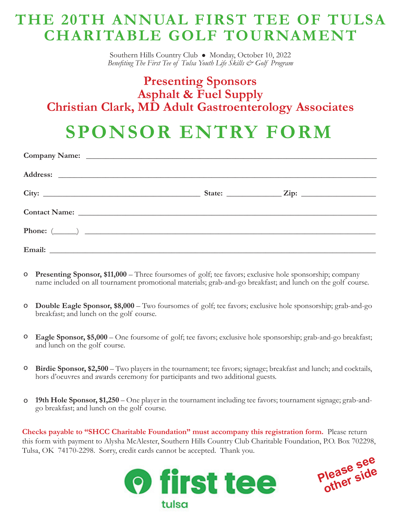## **THE 20TH ANNUAL FIRST TEE OF TULSA CHARITABLE GOLF TOURNAMENT**

Southern Hills Country Club . Monday, October 10, 2022 *Benefiting The First Tee of Tulsa Youth Life Skills & Golf Program*

## **Presenting Sponsors Asphalt & Fuel Supply Christian Clark, MD Adult Gastroenterology Associates**

# **SPONSOR ENTRY FORM**

- **Presenting Sponsor, \$11,000** Three foursomes of golf; tee favors; exclusive hole sponsorship; company name included on all tournament promotional materials; grab-and-go breakfast; and lunch on the golf course. o
- **Double Eagle Sponsor, \$8,000** Two foursomes of golf; tee favors; exclusive hole sponsorship; grab-and-go breakfast; and lunch on the golf course. o
- **Eagle Sponsor, \$5,000** One foursome of golf; tee favors; exclusive hole sponsorship; grab-and-go breakfast; and lunch on the golf course. o
- **Birdie Sponsor, \$2,500** Two players in the tournament; tee favors; signage; breakfast and lunch; and cocktails, hors d'oeuvres and awards ceremony for participants and two additional guests. o
- **19th Hole Sponsor, \$1,250**  One player in the tournament including tee favors; tournament signage; grab-andgo breakfast; and lunch on the golf course. o

**Checks payable to "SHCC Charitable Foundation" must accompany this registration form.** Please return this form with payment to Alysha McAlester, Southern Hills Country Club Charitable Foundation, P.O. Box 702298, Tulsa, OK 74170-2298. Sorry, credit cards cannot be accepted. Thank you.